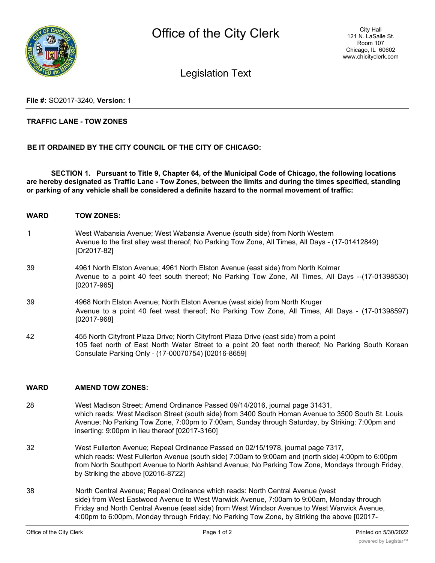

Legislation Text

**File #:** SO2017-3240, **Version:** 1

## **TRAFFIC LANE - TOW ZONES**

# **BE IT ORDAINED BY THE CITY COUNCIL OF THE CITY OF CHICAGO:**

**SECTION 1. Pursuant to Title 9, Chapter 64, of the Municipal Code of Chicago, the following locations are hereby designated as Traffic Lane - Tow Zones, between the limits and during the times specified, standing or parking of any vehicle shall be considered a definite hazard to the normal movement of traffic:**

- **WARD TOW ZONES:**
- 1 West Wabansia Avenue; West Wabansia Avenue (south side) from North Western Avenue to the first alley west thereof; No Parking Tow Zone, All Times, All Days - (17-01412849) [Or2017-82]
- 39 4961 North Elston Avenue; 4961 North Elston Avenue (east side) from North Kolmar Avenue to a point 40 feet south thereof; No Parking Tow Zone, All Times, All Days --(17-01398530) [02017-965]
- 39 4968 North Elston Avenue; North Elston Avenue (west side) from North Kruger Avenue to a point 40 feet west thereof; No Parking Tow Zone, All Times, All Days - (17-01398597) [02017-968]
- 42 455 North Cityfront Plaza Drive; North Cityfront Plaza Drive (east side) from a point 105 feet north of East North Water Street to a point 20 feet north thereof; No Parking South Korean Consulate Parking Only - (17-00070754) [02016-8659]

## **WARD AMEND TOW ZONES:**

- 28 West Madison Street; Amend Ordinance Passed 09/14/2016, journal page 31431, which reads: West Madison Street (south side) from 3400 South Homan Avenue to 3500 South St. Louis Avenue; No Parking Tow Zone, 7:00pm to 7:00am, Sunday through Saturday, by Striking: 7:00pm and inserting: 9:00pm in lieu thereof [02017-3160]
- 32 West Fullerton Avenue; Repeal Ordinance Passed on 02/15/1978, journal page 7317, which reads: West Fullerton Avenue (south side) 7:00am to 9:00am and (north side) 4:00pm to 6:00pm from North Southport Avenue to North Ashland Avenue; No Parking Tow Zone, Mondays through Friday, by Striking the above [02016-8722]
- 38 North Central Avenue; Repeal Ordinance which reads: North Central Avenue (west side) from West Eastwood Avenue to West Warwick Avenue, 7:00am to 9:00am, Monday through Friday and North Central Avenue (east side) from West Windsor Avenue to West Warwick Avenue, 4:00pm to 6:00pm, Monday through Friday; No Parking Tow Zone, by Striking the above [02017-